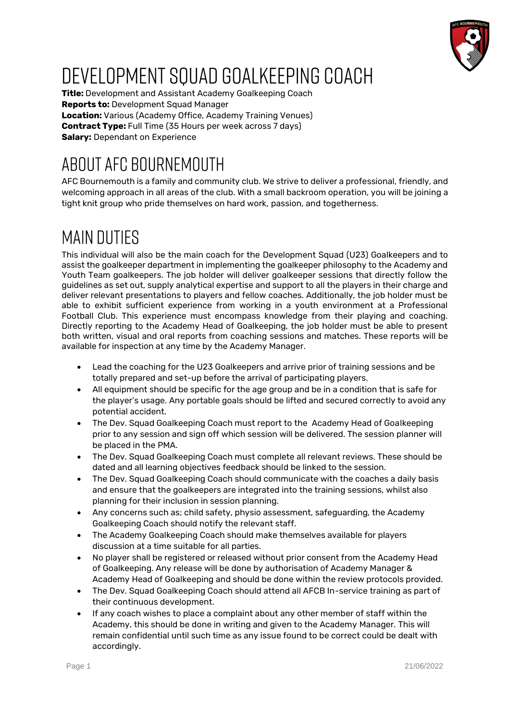

# DEVELOPMENT SQUAD GOALKEEPING COACH

**Title:** Development and Assistant Academy Goalkeeping Coach **Reports to:** Development Squad Manager **Location:** Various (Academy Office, Academy Training Venues) **Contract Type:** Full Time (35 Hours per week across 7 days) **Salary:** Dependant on Experience

# AROUT AFC BOURNEMOUTH

AFC Bournemouth is a family and community club. We strive to deliver a professional, friendly, and welcoming approach in all areas of the club. With a small backroom operation, you will be joining a tight knit group who pride themselves on hard work, passion, and togetherness.

## **MAIN DUTIFS**

This individual will also be the main coach for the Development Squad (U23) Goalkeepers and to assist the goalkeeper department in implementing the goalkeeper philosophy to the Academy and Youth Team goalkeepers. The job holder will deliver goalkeeper sessions that directly follow the guidelines as set out, supply analytical expertise and support to all the players in their charge and deliver relevant presentations to players and fellow coaches. Additionally, the job holder must be able to exhibit sufficient experience from working in a youth environment at a Professional Football Club. This experience must encompass knowledge from their playing and coaching. Directly reporting to the Academy Head of Goalkeeping, the job holder must be able to present both written, visual and oral reports from coaching sessions and matches. These reports will be available for inspection at any time by the Academy Manager.

- Lead the coaching for the U23 Goalkeepers and arrive prior of training sessions and be totally prepared and set-up before the arrival of participating players.
- All equipment should be specific for the age group and be in a condition that is safe for the player's usage. Any portable goals should be lifted and secured correctly to avoid any potential accident.
- The Dev. Squad Goalkeeping Coach must report to the Academy Head of Goalkeeping prior to any session and sign off which session will be delivered. The session planner will be placed in the PMA.
- The Dev. Squad Goalkeeping Coach must complete all relevant reviews. These should be dated and all learning objectives feedback should be linked to the session.
- The Dev. Squad Goalkeeping Coach should communicate with the coaches a daily basis and ensure that the goalkeepers are integrated into the training sessions, whilst also planning for their inclusion in session planning.
- Any concerns such as; child safety, physio assessment, safeguarding, the Academy Goalkeeping Coach should notify the relevant staff.
- The Academy Goalkeeping Coach should make themselves available for players discussion at a time suitable for all parties.
- No player shall be registered or released without prior consent from the Academy Head of Goalkeeping. Any release will be done by authorisation of Academy Manager & Academy Head of Goalkeeping and should be done within the review protocols provided.
- The Dev. Squad Goalkeeping Coach should attend all AFCB In-service training as part of their continuous development.
- If any coach wishes to place a complaint about any other member of staff within the Academy, this should be done in writing and given to the Academy Manager. This will remain confidential until such time as any issue found to be correct could be dealt with accordingly.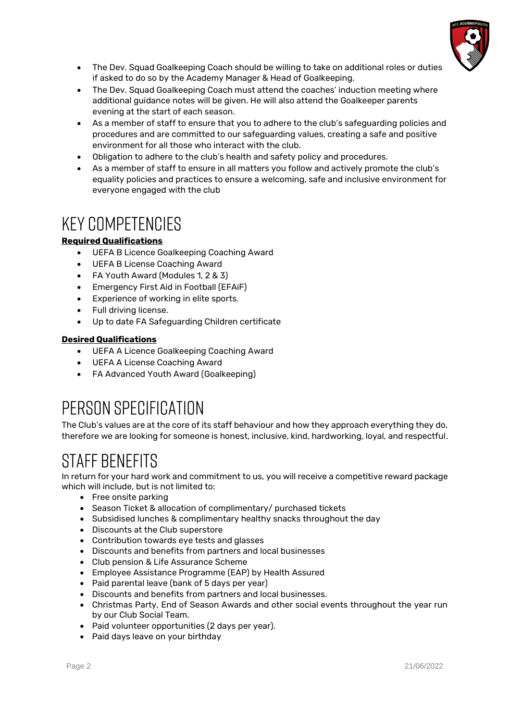

- The Dev. Squad Goalkeeping Coach should be willing to take on additional roles or duties if asked to do so by the Academy Manager & Head of Goalkeeping.
- The Dev. Squad Goalkeeping Coach must attend the coaches' induction meeting where additional guidance notes will be given. He will also attend the Goalkeeper parents evening at the start of each season.
- As a member of staff to ensure that you to adhere to the club's safeguarding policies and procedures and are committed to our safeguarding values, creating a safe and positive environment for all those who interact with the club.
- Obligation to adhere to the club's health and safety policy and procedures.
- As a member of staff to ensure in all matters you follow and actively promote the club's equality policies and practices to ensure a welcoming, safe and inclusive environment for everyone engaged with the club

### **KEY COMPETENCIES**

#### **Required Qualifications**

- UEFA B Licence Goalkeeping Coaching Award
- UEFA B License Coaching Award
- FA Youth Award (Modules 1, 2 & 3)
- Emergency First Aid in Football (EFAiF)
- Experience of working in elite sports.
- Full driving license.
- Up to date FA Safeguarding Children certificate

#### **Desired Qualifications**

- UEFA A Licence Goalkeeping Coaching Award
- UEFA A License Coaching Award
- FA Advanced Youth Award (Goalkeeping)

## PERSON SPECIFICATION

The Club's values are at the core of its staff behaviour and how they approach everything they do, therefore we are looking for someone is honest, inclusive, kind, hardworking, loyal, and respectful.

### STAFF BENFFITS

In return for your hard work and commitment to us, you will receive a competitive reward package which will include, but is not limited to:

- Free onsite parking
- Season Ticket & allocation of complimentary/ purchased tickets
- Subsidised lunches & complimentary healthy snacks throughout the day
- Discounts at the Club superstore
- Contribution towards eye tests and glasses
- Discounts and benefits from partners and local businesses
- Club pension & Life Assurance Scheme
- Employee Assistance Programme (EAP) by Health Assured
- Paid parental leave (bank of 5 days per year)
- Discounts and benefits from partners and local businesses.
- Christmas Party, End of Season Awards and other social events throughout the year run by our Club Social Team.
- Paid volunteer opportunities (2 days per year).
- Paid days leave on your birthday